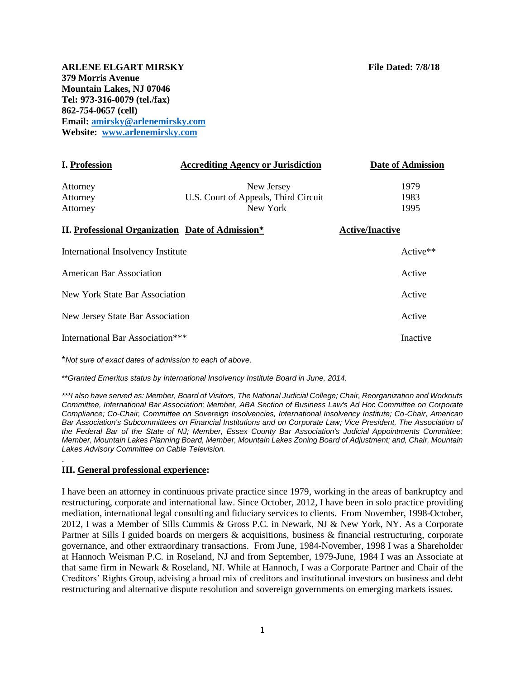**ARLENE ELGART MIRSKY File Dated: 7/8/18 379 Morris Avenue Mountain Lakes, NJ 07046 Tel: 973-316-0079 (tel./fax) 862-754-0657 (cell) Email: [amirsky@arlenemirsky.com](mailto:amirsky@arlenemirsky.com) Website: [www.arlenemirsky.com](http://www.arlenemirsky.com/)**

| <b>I. Profession</b>                                    | <b>Accrediting Agency or Jurisdiction</b> | <b>Date of Admission</b> |
|---------------------------------------------------------|-------------------------------------------|--------------------------|
| Attorney                                                | New Jersey                                | 1979                     |
| Attorney                                                | U.S. Court of Appeals, Third Circuit      | 1983                     |
| Attorney                                                | New York                                  | 1995                     |
| <b>II. Professional Organization Date of Admission*</b> |                                           | <b>Active/Inactive</b>   |
| International Insolvency Institute                      |                                           | $Active**$               |
| American Bar Association                                |                                           | Active                   |
| New York State Bar Association                          |                                           | Active                   |
| New Jersey State Bar Association                        |                                           | Active                   |
| International Bar Association***                        |                                           | Inactive                 |
| *Not sure of exact dates of admission to each of above  |                                           |                          |

\*\**Granted Emeritus status by International Insolvency Institute Board in June, 2014.*

*\*\*\*I also have served as: Member, Board of Visitors, The National Judicial College; Chair, Reorganization and Workouts Committee, International Bar Association; Member, ABA Section of Business Law's Ad Hoc Committee on Corporate Compliance; Co-Chair, Committee on Sovereign Insolvencies, International Insolvency Institute; Co-Chair, American*  Bar Association's Subcommittees on Financial Institutions and on Corporate Law; Vice President, The Association of *the Federal Bar of the State of NJ; Member, Essex County Bar Association's Judicial Appointments Committee; Member, Mountain Lakes Planning Board, Member, Mountain Lakes Zoning Board of Adjustment; and, Chair, Mountain Lakes Advisory Committee on Cable Television.*

# **III. General professional experience:**

.

I have been an attorney in continuous private practice since 1979, working in the areas of bankruptcy and restructuring, corporate and international law. Since October, 2012, I have been in solo practice providing mediation, international legal consulting and fiduciary services to clients. From November, 1998-October, 2012, I was a Member of Sills Cummis & Gross P.C. in Newark, NJ & New York, NY. As a Corporate Partner at Sills I guided boards on mergers & acquisitions, business & financial restructuring, corporate governance, and other extraordinary transactions. From June, 1984-November, 1998 I was a Shareholder at Hannoch Weisman P.C. in Roseland, NJ and from September, 1979-June, 1984 I was an Associate at that same firm in Newark & Roseland, NJ. While at Hannoch, I was a Corporate Partner and Chair of the Creditors' Rights Group, advising a broad mix of creditors and institutional investors on business and debt restructuring and alternative dispute resolution and sovereign governments on emerging markets issues.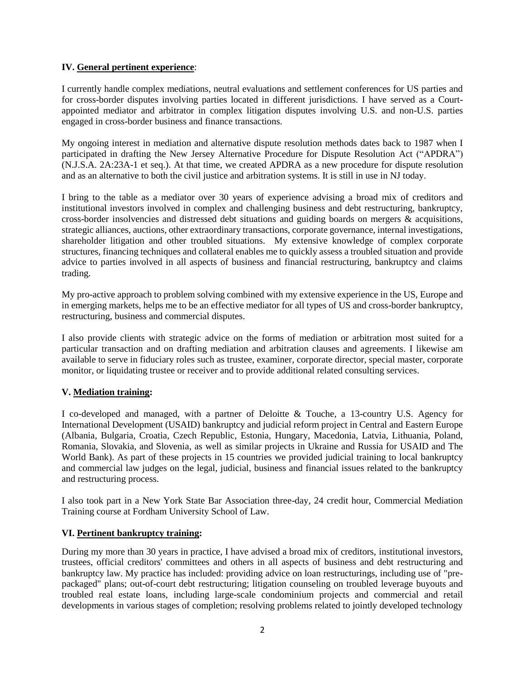## **IV. General pertinent experience**:

I currently handle complex mediations, neutral evaluations and settlement conferences for US parties and for cross-border disputes involving parties located in different jurisdictions. I have served as a Courtappointed mediator and arbitrator in complex litigation disputes involving U.S. and non-U.S. parties engaged in cross-border business and finance transactions.

My ongoing interest in mediation and alternative dispute resolution methods dates back to 1987 when I participated in drafting the New Jersey Alternative Procedure for Dispute Resolution Act ("APDRA") (N.J.S.A. 2A:23A-1 et seq.). At that time, we created APDRA as a new procedure for dispute resolution and as an alternative to both the civil justice and arbitration systems. It is still in use in NJ today.

I bring to the table as a mediator over 30 years of experience advising a broad mix of creditors and institutional investors involved in complex and challenging business and debt restructuring, bankruptcy, cross-border insolvencies and distressed debt situations and guiding boards on mergers & acquisitions, strategic alliances, auctions, other extraordinary transactions, corporate governance, internal investigations, shareholder litigation and other troubled situations. My extensive knowledge of complex corporate structures, financing techniques and collateral enables me to quickly assess a troubled situation and provide advice to parties involved in all aspects of business and financial restructuring, bankruptcy and claims trading.

My pro-active approach to problem solving combined with my extensive experience in the US, Europe and in emerging markets, helps me to be an effective mediator for all types of US and cross-border bankruptcy, restructuring, business and commercial disputes.

I also provide clients with strategic advice on the forms of mediation or arbitration most suited for a particular transaction and on drafting mediation and arbitration clauses and agreements. I likewise am available to serve in fiduciary roles such as trustee, examiner, corporate director, special master, corporate monitor, or liquidating trustee or receiver and to provide additional related consulting services.

# **V. Mediation training:**

I co-developed and managed, with a partner of Deloitte & Touche, a 13-country U.S. Agency for International Development (USAID) bankruptcy and judicial reform project in Central and Eastern Europe (Albania, Bulgaria, Croatia, Czech Republic, Estonia, Hungary, Macedonia, Latvia, Lithuania, Poland, Romania, Slovakia, and Slovenia, as well as similar projects in Ukraine and Russia for USAID and The World Bank). As part of these projects in 15 countries we provided judicial training to local bankruptcy and commercial law judges on the legal, judicial, business and financial issues related to the bankruptcy and restructuring process.

I also took part in a New York State Bar Association three-day, 24 credit hour, Commercial Mediation Training course at Fordham University School of Law.

# **VI. Pertinent bankruptcy training:**

During my more than 30 years in practice, I have advised a broad mix of creditors, institutional investors, trustees, official creditors' committees and others in all aspects of business and debt restructuring and bankruptcy law. My practice has included: providing advice on loan restructurings, including use of "prepackaged" plans; out-of-court debt restructuring; litigation counseling on troubled leverage buyouts and troubled real estate loans, including large-scale condominium projects and commercial and retail developments in various stages of completion; resolving problems related to jointly developed technology